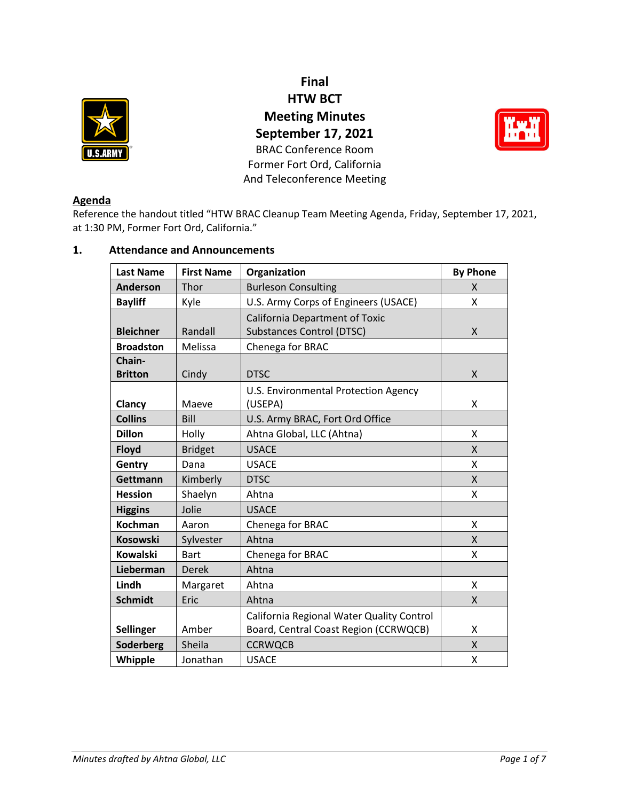

**Final HTW BCT Meeting Minutes September 17, 2021** BRAC Conference Room Former Fort Ord, California And Teleconference Meeting



# **Agenda**

Reference the handout titled "HTW BRAC Cleanup Team Meeting Agenda, Friday, September 17, 2021, at 1:30 PM, Former Fort Ord, California."

# **1. Attendance and Announcements**

| <b>Last Name</b> | <b>First Name</b> | Organization                              | <b>By Phone</b> |
|------------------|-------------------|-------------------------------------------|-----------------|
| <b>Anderson</b>  | Thor              | <b>Burleson Consulting</b>                | $\mathsf{x}$    |
| <b>Bayliff</b>   | Kyle              | U.S. Army Corps of Engineers (USACE)      | X               |
|                  |                   | <b>California Department of Toxic</b>     |                 |
| <b>Bleichner</b> | Randall           | <b>Substances Control (DTSC)</b>          | X               |
| <b>Broadston</b> | Melissa           | Chenega for BRAC                          |                 |
| Chain-           |                   |                                           |                 |
| <b>Britton</b>   | Cindy             | <b>DTSC</b>                               | X               |
|                  | Maeve             | U.S. Environmental Protection Agency      | Χ               |
| Clancy           |                   | (USEPA)                                   |                 |
| <b>Collins</b>   | Bill              | U.S. Army BRAC, Fort Ord Office           |                 |
| <b>Dillon</b>    | Holly             | Ahtna Global, LLC (Ahtna)                 | X               |
| <b>Floyd</b>     | <b>Bridget</b>    | <b>USACE</b>                              | $\mathsf{X}$    |
| Gentry           | Dana              | <b>USACE</b>                              | X               |
| Gettmann         | Kimberly          | <b>DTSC</b>                               | X               |
| <b>Hession</b>   | Shaelyn           | Ahtna                                     | X               |
| <b>Higgins</b>   | Jolie             | <b>USACE</b>                              |                 |
| <b>Kochman</b>   | Aaron             | Chenega for BRAC                          | X               |
| <b>Kosowski</b>  | Sylvester         | Ahtna                                     | X               |
| <b>Kowalski</b>  | <b>Bart</b>       | Chenega for BRAC                          | X               |
| Lieberman        | <b>Derek</b>      | Ahtna                                     |                 |
| Lindh            | Margaret          | Ahtna                                     | X               |
| <b>Schmidt</b>   | Eric              | Ahtna                                     | X               |
|                  |                   | California Regional Water Quality Control |                 |
| <b>Sellinger</b> | Amber             | Board, Central Coast Region (CCRWQCB)     | X               |
| Soderberg        | Sheila            | <b>CCRWQCB</b>                            | $\mathsf{x}$    |
| Whipple          | Jonathan          | <b>USACE</b>                              | X               |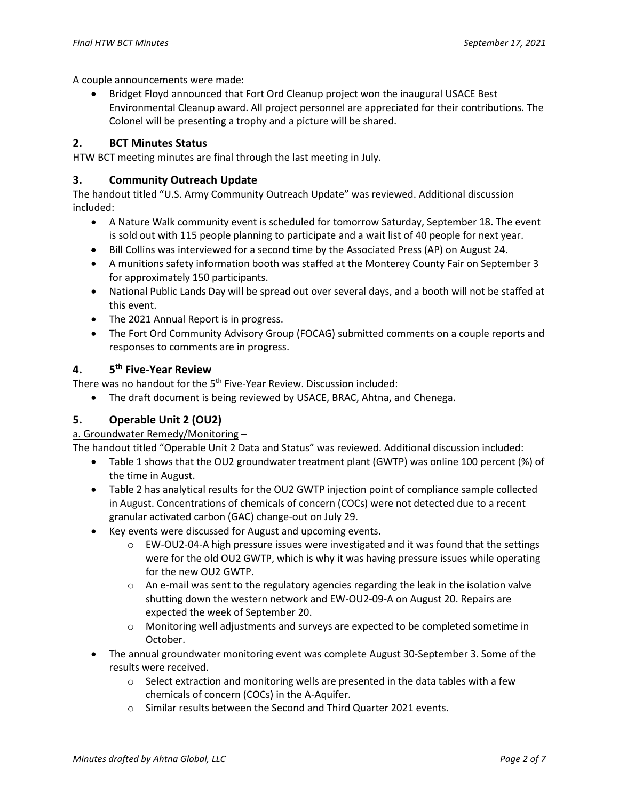A couple announcements were made:

• Bridget Floyd announced that Fort Ord Cleanup project won the inaugural USACE Best Environmental Cleanup award. All project personnel are appreciated for their contributions. The Colonel will be presenting a trophy and a picture will be shared.

## **2. BCT Minutes Status**

HTW BCT meeting minutes are final through the last meeting in July.

### **3. Community Outreach Update**

The handout titled "U.S. Army Community Outreach Update" was reviewed. Additional discussion included:

- A Nature Walk community event is scheduled for tomorrow Saturday, September 18. The event is sold out with 115 people planning to participate and a wait list of 40 people for next year.
- Bill Collins was interviewed for a second time by the Associated Press (AP) on August 24.
- A munitions safety information booth was staffed at the Monterey County Fair on September 3 for approximately 150 participants.
- National Public Lands Day will be spread out over several days, and a booth will not be staffed at this event.
- The 2021 Annual Report is in progress.
- The Fort Ord Community Advisory Group (FOCAG) submitted comments on a couple reports and responses to comments are in progress.

#### **4. 5 th Five-Year Review**

There was no handout for the 5<sup>th</sup> Five-Year Review. Discussion included:

• The draft document is being reviewed by USACE, BRAC, Ahtna, and Chenega.

# **5. Operable Unit 2 (OU2)**

a. Groundwater Remedy/Monitoring –

The handout titled "Operable Unit 2 Data and Status" was reviewed. Additional discussion included:

- Table 1 shows that the OU2 groundwater treatment plant (GWTP) was online 100 percent (%) of the time in August.
- Table 2 has analytical results for the OU2 GWTP injection point of compliance sample collected in August. Concentrations of chemicals of concern (COCs) were not detected due to a recent granular activated carbon (GAC) change-out on July 29.
- Key events were discussed for August and upcoming events.
	- $\circ$  EW-OU2-04-A high pressure issues were investigated and it was found that the settings were for the old OU2 GWTP, which is why it was having pressure issues while operating for the new OU2 GWTP.
	- $\circ$  An e-mail was sent to the regulatory agencies regarding the leak in the isolation valve shutting down the western network and EW-OU2-09-A on August 20. Repairs are expected the week of September 20.
	- o Monitoring well adjustments and surveys are expected to be completed sometime in October.
- The annual groundwater monitoring event was complete August 30-September 3. Some of the results were received.
	- $\circ$  Select extraction and monitoring wells are presented in the data tables with a few chemicals of concern (COCs) in the A-Aquifer.
	- o Similar results between the Second and Third Quarter 2021 events.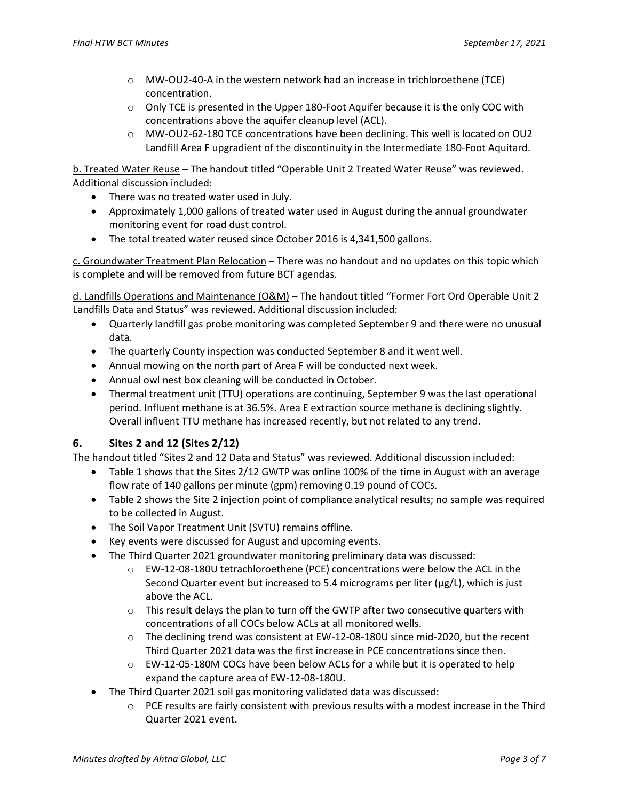- o MW-OU2-40-A in the western network had an increase in trichloroethene (TCE) concentration.
- $\circ$  Only TCE is presented in the Upper 180-Foot Aquifer because it is the only COC with concentrations above the aquifer cleanup level (ACL).
- o MW-OU2-62-180 TCE concentrations have been declining. This well is located on OU2 Landfill Area F upgradient of the discontinuity in the Intermediate 180-Foot Aquitard.

b. Treated Water Reuse – The handout titled "Operable Unit 2 Treated Water Reuse" was reviewed. Additional discussion included:

- There was no treated water used in July.
- Approximately 1,000 gallons of treated water used in August during the annual groundwater monitoring event for road dust control.
- The total treated water reused since October 2016 is 4,341,500 gallons.

c. Groundwater Treatment Plan Relocation – There was no handout and no updates on this topic which is complete and will be removed from future BCT agendas.

d. Landfills Operations and Maintenance (O&M) – The handout titled "Former Fort Ord Operable Unit 2 Landfills Data and Status" was reviewed. Additional discussion included:

- Quarterly landfill gas probe monitoring was completed September 9 and there were no unusual data.
- The quarterly County inspection was conducted September 8 and it went well.
- Annual mowing on the north part of Area F will be conducted next week.
- Annual owl nest box cleaning will be conducted in October.
- Thermal treatment unit (TTU) operations are continuing, September 9 was the last operational period. Influent methane is at 36.5%. Area E extraction source methane is declining slightly. Overall influent TTU methane has increased recently, but not related to any trend.

# **6. Sites 2 and 12 (Sites 2/12)**

The handout titled "Sites 2 and 12 Data and Status" was reviewed. Additional discussion included:

- Table 1 shows that the Sites 2/12 GWTP was online 100% of the time in August with an average flow rate of 140 gallons per minute (gpm) removing 0.19 pound of COCs.
- Table 2 shows the Site 2 injection point of compliance analytical results; no sample was required to be collected in August.
- The Soil Vapor Treatment Unit (SVTU) remains offline.
- Key events were discussed for August and upcoming events.
- The Third Quarter 2021 groundwater monitoring preliminary data was discussed:
	- o EW-12-08-180U tetrachloroethene (PCE) concentrations were below the ACL in the Second Quarter event but increased to 5.4 micrograms per liter (µg/L), which is just above the ACL.
	- $\circ$  This result delays the plan to turn off the GWTP after two consecutive quarters with concentrations of all COCs below ACLs at all monitored wells.
	- $\circ$  The declining trend was consistent at EW-12-08-180U since mid-2020, but the recent Third Quarter 2021 data was the first increase in PCE concentrations since then.
	- o EW-12-05-180M COCs have been below ACLs for a while but it is operated to help expand the capture area of EW-12-08-180U.
- The Third Quarter 2021 soil gas monitoring validated data was discussed:
	- $\circ$  PCE results are fairly consistent with previous results with a modest increase in the Third Quarter 2021 event.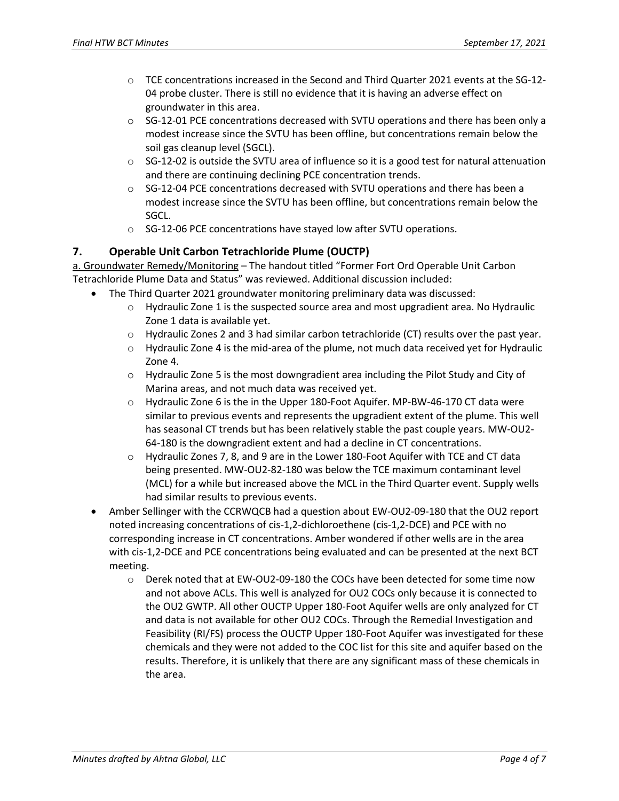- o TCE concentrations increased in the Second and Third Quarter 2021 events at the SG-12- 04 probe cluster. There is still no evidence that it is having an adverse effect on groundwater in this area.
- $\circ$  SG-12-01 PCE concentrations decreased with SVTU operations and there has been only a modest increase since the SVTU has been offline, but concentrations remain below the soil gas cleanup level (SGCL).
- $\circ$  SG-12-02 is outside the SVTU area of influence so it is a good test for natural attenuation and there are continuing declining PCE concentration trends.
- $\circ$  SG-12-04 PCE concentrations decreased with SVTU operations and there has been a modest increase since the SVTU has been offline, but concentrations remain below the SGCL.
- o SG-12-06 PCE concentrations have stayed low after SVTU operations.

# **7. Operable Unit Carbon Tetrachloride Plume (OUCTP)**

a. Groundwater Remedy/Monitoring – The handout titled "Former Fort Ord Operable Unit Carbon Tetrachloride Plume Data and Status" was reviewed. Additional discussion included:

- The Third Quarter 2021 groundwater monitoring preliminary data was discussed:
	- $\circ$  Hydraulic Zone 1 is the suspected source area and most upgradient area. No Hydraulic Zone 1 data is available yet.
	- o Hydraulic Zones 2 and 3 had similar carbon tetrachloride (CT) results over the past year.
	- $\circ$  Hydraulic Zone 4 is the mid-area of the plume, not much data received yet for Hydraulic Zone 4.
	- $\circ$  Hydraulic Zone 5 is the most downgradient area including the Pilot Study and City of Marina areas, and not much data was received yet.
	- $\circ$  Hydraulic Zone 6 is the in the Upper 180-Foot Aquifer. MP-BW-46-170 CT data were similar to previous events and represents the upgradient extent of the plume. This well has seasonal CT trends but has been relatively stable the past couple years. MW-OU2- 64-180 is the downgradient extent and had a decline in CT concentrations.
	- $\circ$  Hydraulic Zones 7, 8, and 9 are in the Lower 180-Foot Aquifer with TCE and CT data being presented. MW-OU2-82-180 was below the TCE maximum contaminant level (MCL) for a while but increased above the MCL in the Third Quarter event. Supply wells had similar results to previous events.
- Amber Sellinger with the CCRWQCB had a question about EW-OU2-09-180 that the OU2 report noted increasing concentrations of cis-1,2-dichloroethene (cis-1,2-DCE) and PCE with no corresponding increase in CT concentrations. Amber wondered if other wells are in the area with cis-1,2-DCE and PCE concentrations being evaluated and can be presented at the next BCT meeting.
	- o Derek noted that at EW-OU2-09-180 the COCs have been detected for some time now and not above ACLs. This well is analyzed for OU2 COCs only because it is connected to the OU2 GWTP. All other OUCTP Upper 180-Foot Aquifer wells are only analyzed for CT and data is not available for other OU2 COCs. Through the Remedial Investigation and Feasibility (RI/FS) process the OUCTP Upper 180-Foot Aquifer was investigated for these chemicals and they were not added to the COC list for this site and aquifer based on the results. Therefore, it is unlikely that there are any significant mass of these chemicals in the area.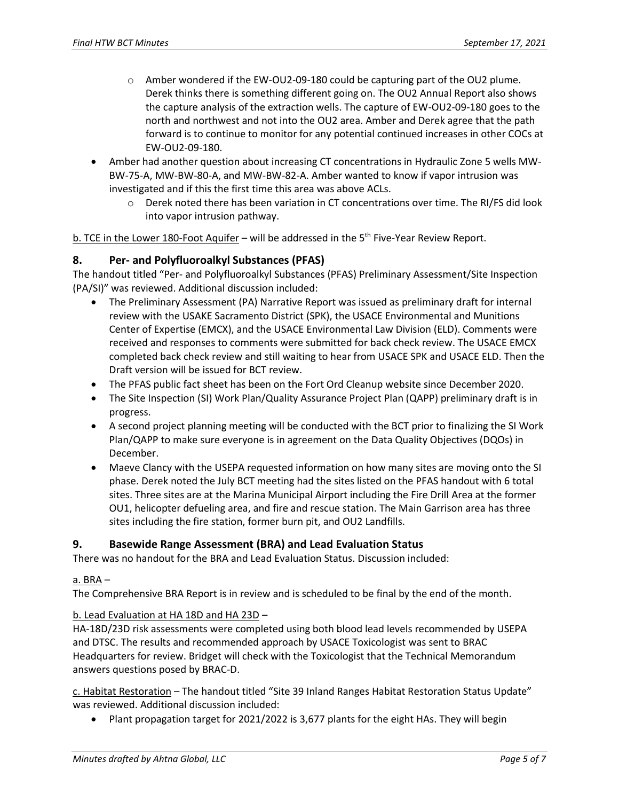- $\circ$  Amber wondered if the EW-OU2-09-180 could be capturing part of the OU2 plume. Derek thinks there is something different going on. The OU2 Annual Report also shows the capture analysis of the extraction wells. The capture of EW-OU2-09-180 goes to the north and northwest and not into the OU2 area. Amber and Derek agree that the path forward is to continue to monitor for any potential continued increases in other COCs at EW-OU2-09-180.
- Amber had another question about increasing CT concentrations in Hydraulic Zone 5 wells MW-BW-75-A, MW-BW-80-A, and MW-BW-82-A. Amber wanted to know if vapor intrusion was investigated and if this the first time this area was above ACLs.
	- $\circ$  Derek noted there has been variation in CT concentrations over time. The RI/FS did look into vapor intrusion pathway.

b. TCE in the Lower 180-Foot Aquifer – will be addressed in the  $5<sup>th</sup>$  Five-Year Review Report.

#### **8. Per- and Polyfluoroalkyl Substances (PFAS)**

The handout titled "Per- and Polyfluoroalkyl Substances (PFAS) Preliminary Assessment/Site Inspection (PA/SI)" was reviewed. Additional discussion included:

- The Preliminary Assessment (PA) Narrative Report was issued as preliminary draft for internal review with the USAKE Sacramento District (SPK), the USACE Environmental and Munitions Center of Expertise (EMCX), and the USACE Environmental Law Division (ELD). Comments were received and responses to comments were submitted for back check review. The USACE EMCX completed back check review and still waiting to hear from USACE SPK and USACE ELD. Then the Draft version will be issued for BCT review.
- The PFAS public fact sheet has been on the Fort Ord Cleanup website since December 2020.
- The Site Inspection (SI) Work Plan/Quality Assurance Project Plan (QAPP) preliminary draft is in progress.
- A second project planning meeting will be conducted with the BCT prior to finalizing the SI Work Plan/QAPP to make sure everyone is in agreement on the Data Quality Objectives (DQOs) in December.
- Maeve Clancy with the USEPA requested information on how many sites are moving onto the SI phase. Derek noted the July BCT meeting had the sites listed on the PFAS handout with 6 total sites. Three sites are at the Marina Municipal Airport including the Fire Drill Area at the former OU1, helicopter defueling area, and fire and rescue station. The Main Garrison area has three sites including the fire station, former burn pit, and OU2 Landfills.

#### **9. Basewide Range Assessment (BRA) and Lead Evaluation Status**

There was no handout for the BRA and Lead Evaluation Status. Discussion included:

#### a. BRA –

The Comprehensive BRA Report is in review and is scheduled to be final by the end of the month.

#### b. Lead Evaluation at HA 18D and HA 23D –

HA-18D/23D risk assessments were completed using both blood lead levels recommended by USEPA and DTSC. The results and recommended approach by USACE Toxicologist was sent to BRAC Headquarters for review. Bridget will check with the Toxicologist that the Technical Memorandum answers questions posed by BRAC-D.

c. Habitat Restoration – The handout titled "Site 39 Inland Ranges Habitat Restoration Status Update" was reviewed. Additional discussion included:

• Plant propagation target for 2021/2022 is 3,677 plants for the eight HAs. They will begin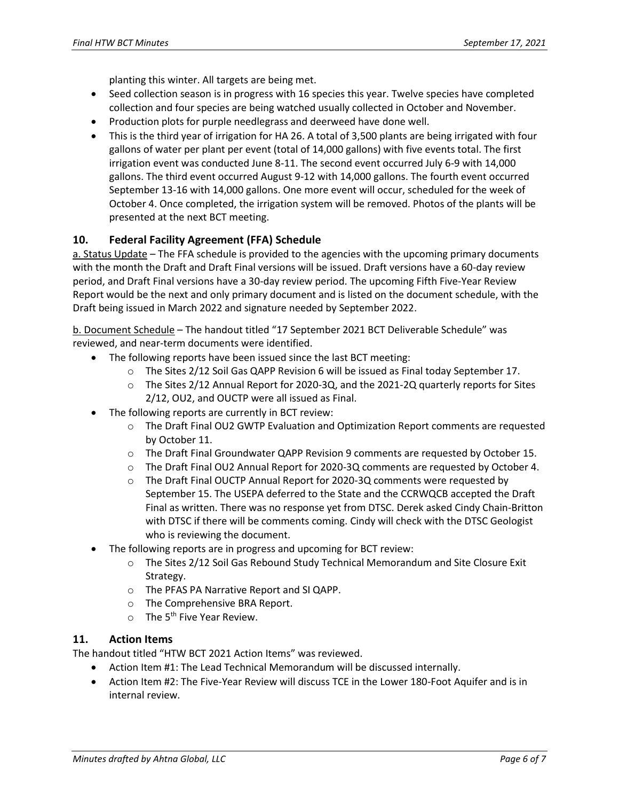planting this winter. All targets are being met.

- Seed collection season is in progress with 16 species this year. Twelve species have completed collection and four species are being watched usually collected in October and November.
- Production plots for purple needlegrass and deerweed have done well.
- This is the third year of irrigation for HA 26. A total of 3,500 plants are being irrigated with four gallons of water per plant per event (total of 14,000 gallons) with five events total. The first irrigation event was conducted June 8-11. The second event occurred July 6-9 with 14,000 gallons. The third event occurred August 9-12 with 14,000 gallons. The fourth event occurred September 13-16 with 14,000 gallons. One more event will occur, scheduled for the week of October 4. Once completed, the irrigation system will be removed. Photos of the plants will be presented at the next BCT meeting.

# **10. Federal Facility Agreement (FFA) Schedule**

a. Status Update – The FFA schedule is provided to the agencies with the upcoming primary documents with the month the Draft and Draft Final versions will be issued. Draft versions have a 60-day review period, and Draft Final versions have a 30-day review period. The upcoming Fifth Five-Year Review Report would be the next and only primary document and is listed on the document schedule, with the Draft being issued in March 2022 and signature needed by September 2022.

b. Document Schedule – The handout titled "17 September 2021 BCT Deliverable Schedule" was reviewed, and near-term documents were identified.

- The following reports have been issued since the last BCT meeting:
	- $\circ$  The Sites 2/12 Soil Gas QAPP Revision 6 will be issued as Final today September 17.
	- $\circ$  The Sites 2/12 Annual Report for 2020-3Q, and the 2021-2Q quarterly reports for Sites 2/12, OU2, and OUCTP were all issued as Final.
- The following reports are currently in BCT review:
	- o The Draft Final OU2 GWTP Evaluation and Optimization Report comments are requested by October 11.
	- o The Draft Final Groundwater QAPP Revision 9 comments are requested by October 15.
	- o The Draft Final OU2 Annual Report for 2020-3Q comments are requested by October 4.
	- o The Draft Final OUCTP Annual Report for 2020-3Q comments were requested by September 15. The USEPA deferred to the State and the CCRWQCB accepted the Draft Final as written. There was no response yet from DTSC. Derek asked Cindy Chain-Britton with DTSC if there will be comments coming. Cindy will check with the DTSC Geologist who is reviewing the document.
- The following reports are in progress and upcoming for BCT review:
	- $\circ$  The Sites 2/12 Soil Gas Rebound Study Technical Memorandum and Site Closure Exit Strategy.
	- o The PFAS PA Narrative Report and SI QAPP.
	- o The Comprehensive BRA Report.
	- o The 5<sup>th</sup> Five Year Review.

# **11. Action Items**

The handout titled "HTW BCT 2021 Action Items" was reviewed.

- Action Item #1: The Lead Technical Memorandum will be discussed internally.
- Action Item #2: The Five-Year Review will discuss TCE in the Lower 180-Foot Aquifer and is in internal review.